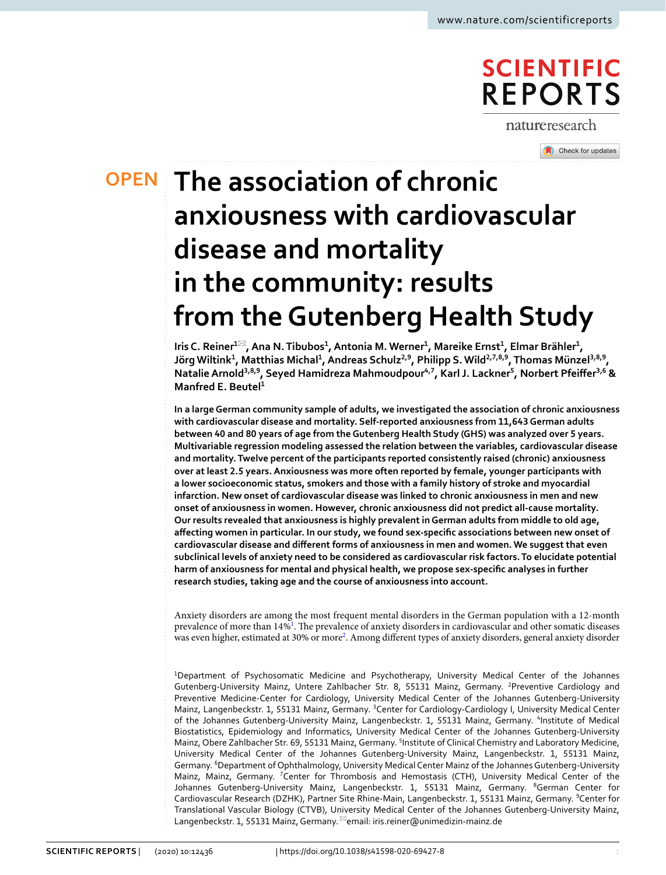# **SCIENTIFIC REPORTS**

natureresearch

Check for updates

# **The association of chronic OPEN anxiousness with cardiovascular disease and mortality in the community: results from theGutenberg Health Study**

 $\text{I}$ ris C. Reiner $^{1\boxtimes}$ , Ana N. Tibubos<sup>1</sup>, Antonia M. Werner<sup>1</sup>, Mareike Ernst<sup>1</sup>, Elmar Brähler<sup>1</sup>, **Jörg Wiltink<sup>1</sup> , Matthias Michal<sup>1</sup> , Andreas Schulz2,9, Philipp S. Wild2,7,8,9, Thomas Münzel3,8,9, NatalieArnold3,8,9, Seyed Hamidreza Mahmoudpour4,7, Karl J. Lackner<sup>5</sup> , Norbert Pfeifer3,6 & Manfred E. Beutel<sup>1</sup>**

**In a large German community sample of adults, we investigated the association of chronic anxiousness with cardiovascular disease and mortality. Self-reported anxiousness from 11,643 German adults between 40 and 80 years of age from the Gutenberg Health Study (GHS) was analyzed over 5 years. Multivariable regression modeling assessed the relation between the variables, cardiovascular disease and mortality. Twelve percent of the participants reported consistently raised (chronic) anxiousness over at least 2.5 years. Anxiousness was more often reported by female, younger participants with a lower socioeconomic status, smokers and those with a family history of stroke and myocardial infarction. New onset of cardiovascular disease was linked to chronic anxiousness in men and new onset of anxiousness in women. However, chronic anxiousness did not predict all-cause mortality. Our results revealed that anxiousness is highly prevalent in German adults from middle to old age, afecting women in particular. In our study, we found sex-specifc associations between new onset of cardiovascular disease and diferent forms of anxiousness in men and women. We suggest that even subclinical levels of anxiety need to be considered as cardiovascular risk factors. To elucidate potential harm of anxiousness for mental and physical health, we propose sex-specifc analyses in further research studies, taking age and the course of anxiousness into account.**

Anxiety disorders are among the most frequent mental disorders in the German population with a 12-month prevalence of more than 14%<sup>1</sup>. The prevalence of anxiety disorders in cardiovascular and other somatic diseases was even higher, estimated at 30% or more<sup>2</sup>. Among different types of anxiety disorders, general anxiety disorder

<sup>1</sup>Department of Psychosomatic Medicine and Psychotherapy, University Medical Center of the Johannes Gutenberg-University Mainz, Untere Zahlbacher Str. 8, 55131 Mainz, Germany. <sup>2</sup>Preventive Cardiology and Preventive Medicine-Center for Cardiology, University Medical Center of the Johannes Gutenberg-University Mainz, Langenbeckstr. 1, 55131 Mainz, Germany. <sup>3</sup>Center for Cardiology-Cardiology I, University Medical Center of the Johannes Gutenberg-University Mainz, Langenbeckstr. 1, 55131 Mainz, Germany. <sup>4</sup>Institute of Medical Biostatistics, Epidemiology and Informatics, University Medical Center of the Johannes Gutenberg-University Mainz, Obere Zahlbacher Str. 69, 55131 Mainz, Germany. <sup>5</sup>Institute of Clinical Chemistry and Laboratory Medicine, University Medical Center of the Johannes Gutenberg-University Mainz, Langenbeckstr. 1, 55131 Mainz, Germany. <sup>6</sup>Department of Ophthalmology, University Medical Center Mainz of the Johannes Gutenberg-University Mainz, Mainz, Germany. <sup>7</sup>Center for Thrombosis and Hemostasis (CTH), University Medical Center of the Johannes Gutenberg-University Mainz, Langenbeckstr. 1, 55131 Mainz, Germany. <sup>8</sup>German Center for Cardiovascular Research (DZHK), Partner Site Rhine-Main, Langenbeckstr. 1, 55131 Mainz, Germany. <sup>9</sup>Center for Translational Vascular Biology (CTVB), University Medical Center of the Johannes Gutenberg-University Mainz, Langenbeckstr. 1, 55131 Mainz, Germany. <sup>⊠</sup>email: iris.reiner@unimedizin-mainz.de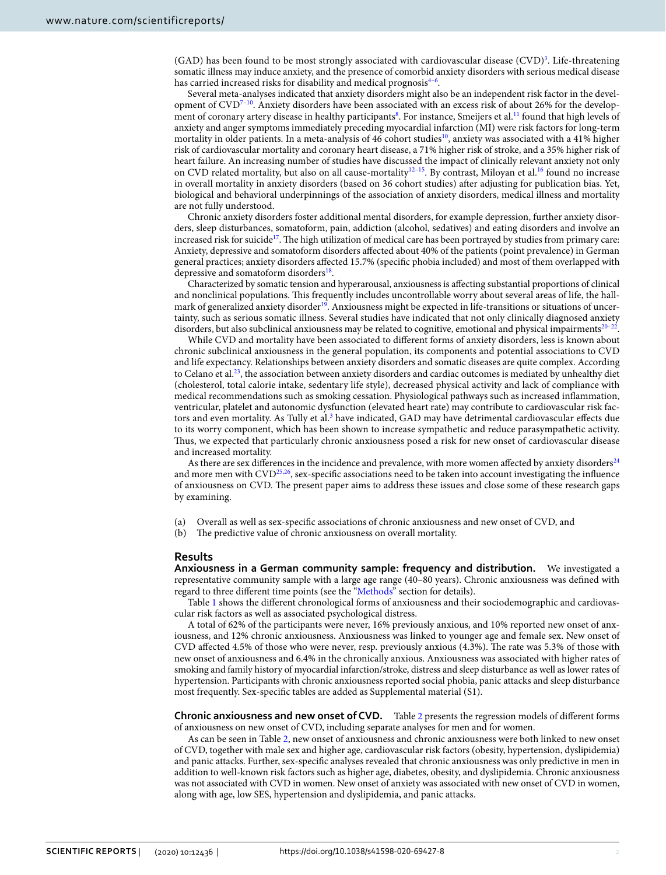$(GAD)$  has been found to be most strongly associated with cardiovascular disease  $(CVD)^3$  $(CVD)^3$ . Life-threatening somatic illness may induce anxiety, and the presence of comorbid anxiety disorders with serious medical disease has carried increased risks for disability and medical prognosis<sup>4-[6](#page-6-0)</sup>.

Several meta-analyses indicated that anxiety disorders might also be an independent risk factor in the devel-opment of CVD<sup>7-[10](#page-6-2)</sup>. Anxiety disorders have been associated with an excess risk of about 26% for the develop-ment of coronary artery disease in healthy participants<sup>[8](#page-6-3)</sup>. For instance, Smeijers et al.<sup>11</sup> found that high levels of anxiety and anger symptoms immediately preceding myocardial infarction (MI) were risk factors for long-term mortality in older patients. In a meta-analysis of 46 cohort studies<sup>10</sup>, anxiety was associated with a 41% higher risk of cardiovascular mortality and coronary heart disease, a 71% higher risk of stroke, and a 35% higher risk of heart failure. An increasing number of studies have discussed the impact of clinically relevant anxiety not only on CVD related mortality, but also on all cause-mortality<sup>12-15</sup>. By contrast, Miloyan et al.<sup>16</sup> found no increase in overall mortality in anxiety disorders (based on 36 cohort studies) after adjusting for publication bias. Yet, biological and behavioral underpinnings of the association of anxiety disorders, medical illness and mortality are not fully understood.

Chronic anxiety disorders foster additional mental disorders, for example depression, further anxiety disorders, sleep disturbances, somatoform, pain, addiction (alcohol, sedatives) and eating disorders and involve an increased risk for suicide<sup>17</sup>. The high utilization of medical care has been portrayed by studies from primary care: Anxiety, depressive and somatoform disorders afected about 40% of the patients (point prevalence) in German general practices; anxiety disorders afected 15.7% (specifc phobia included) and most of them overlapped with depressive and somatoform disorders<sup>18</sup>.

Characterized by somatic tension and hyperarousal, anxiousness is afecting substantial proportions of clinical and nonclinical populations. Tis frequently includes uncontrollable worry about several areas of life, the hallmark of generalized anxiety disorder<sup>19</sup>. Anxiousness might be expected in life-transitions or situations of uncertainty, such as serious somatic illness. Several studies have indicated that not only clinically diagnosed anxiety disorders, but also subclinical anxiousness may be related to cognitive, emotional and physical impairments<sup>[20](#page-6-11)–[22](#page-6-12)</sup>.

While CVD and mortality have been associated to diferent forms of anxiety disorders, less is known about chronic subclinical anxiousness in the general population, its components and potential associations to CVD and life expectancy. Relationships between anxiety disorders and somatic diseases are quite complex. According to Celano et al.<sup>23</sup>, the association between anxiety disorders and cardiac outcomes is mediated by unhealthy diet (cholesterol, total calorie intake, sedentary life style), decreased physical activity and lack of compliance with medical recommendations such as smoking cessation. Physiological pathways such as increased infammation, ventricular, platelet and autonomic dysfunction (elevated heart rate) may contribute to cardiovascular risk fac-tors and even mortality. As Tully et al.<sup>[3](#page-5-2)</sup> have indicated, GAD may have detrimental cardiovascular effects due to its worry component, which has been shown to increase sympathetic and reduce parasympathetic activity. Thus, we expected that particularly chronic anxiousness posed a risk for new onset of cardiovascular disease and increased mortality.

As there are sex differences in the incidence and prevalence, with more women affected by anxiety disorders $24$ and more men with CVD<sup>25,26</sup>, sex-specific associations need to be taken into account investigating the influence of anxiousness on CVD. The present paper aims to address these issues and close some of these research gaps by examining.

- (a) Overall as well as sex-specifc associations of chronic anxiousness and new onset of CVD, and
- (b) The predictive value of chronic anxiousness on overall mortality.

#### **Results**

**Anxiousness in a German community sample: frequency and distribution.** We investigated a representative community sample with a large age range (40–80 years). Chronic anxiousness was defned with regard to three diferent time points (see the ["Methods"](#page-4-0) section for details).

Table [1](#page-2-0) shows the diferent chronological forms of anxiousness and their sociodemographic and cardiovascular risk factors as well as associated psychological distress.

A total of 62% of the participants were never, 16% previously anxious, and 10% reported new onset of anxiousness, and 12% chronic anxiousness. Anxiousness was linked to younger age and female sex. New onset of CVD affected 4.5% of those who were never, resp. previously anxious (4.3%). The rate was 5.3% of those with new onset of anxiousness and 6.4% in the chronically anxious. Anxiousness was associated with higher rates of smoking and family history of myocardial infarction/stroke, distress and sleep disturbance as well as lower rates of hypertension. Participants with chronic anxiousness reported social phobia, panic attacks and sleep disturbance most frequently. Sex-specifc tables are added as Supplemental material (S1).

**Chronic anxiousness and new onset of CVD.** Table [2](#page-2-1) presents the regression models of diferent forms of anxiousness on new onset of CVD, including separate analyses for men and for women.

As can be seen in Table [2,](#page-2-1) new onset of anxiousness and chronic anxiousness were both linked to new onset of CVD, together with male sex and higher age, cardiovascular risk factors (obesity, hypertension, dyslipidemia) and panic attacks. Further, sex-specifc analyses revealed that chronic anxiousness was only predictive in men in addition to well-known risk factors such as higher age, diabetes, obesity, and dyslipidemia. Chronic anxiousness was not associated with CVD in women. New onset of anxiety was associated with new onset of CVD in women, along with age, low SES, hypertension and dyslipidemia, and panic attacks.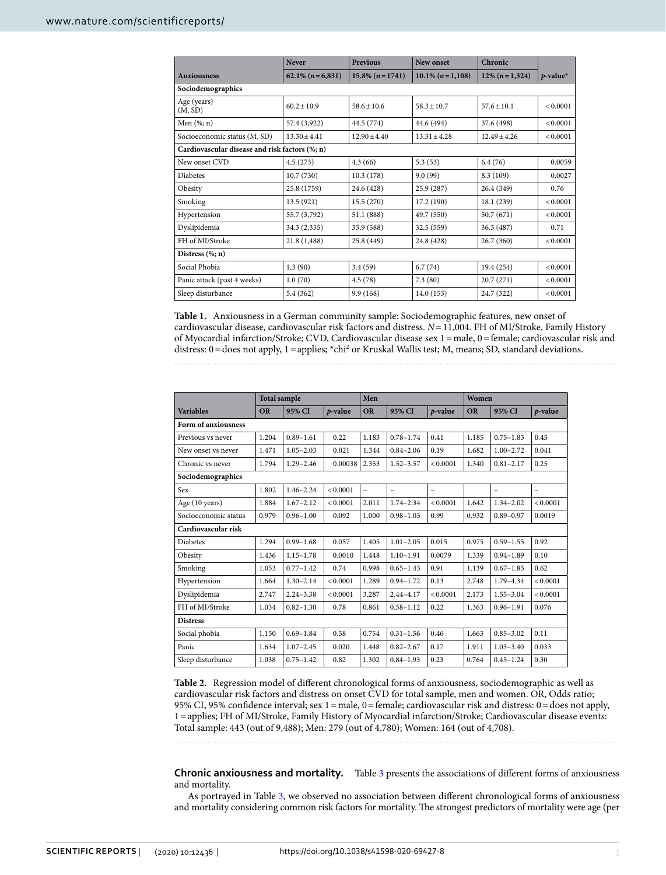|                                                | <b>Never</b>       | <b>Previous</b>   | New onset            | Chronic          |             |  |  |  |
|------------------------------------------------|--------------------|-------------------|----------------------|------------------|-------------|--|--|--|
| <b>Anxiousness</b>                             | $62.1\% (n=6,831)$ | $15.8\% (n=1741)$ | $10.1\%$ (n = 1,108) | $12\% (n=1,324)$ | $p$ -value* |  |  |  |
| Sociodemographics                              |                    |                   |                      |                  |             |  |  |  |
| Age (years)<br>(M, SD)                         | $60.2 \pm 10.9$    | $58.6 \pm 10.6$   | $58.3 \pm 10.7$      | $57.6 \pm 10.1$  | < 0.0001    |  |  |  |
| Men $(\%; n)$                                  | 57.4 (3,922)       | 44.5 (774)        | 44.6 (494)           | 37.6 (498)       | < 0.0001    |  |  |  |
| Socioeconomic status (M, SD)                   | $13.30 + 4.41$     | $12.90 + 4.40$    | $13.31 \pm 4.28$     | $12.49 + 4.26$   | < 0.0001    |  |  |  |
| Cardiovascular disease and risk factors (%; n) |                    |                   |                      |                  |             |  |  |  |
| New onset CVD                                  | 4.5(273)           | 4.3(66)           | 5.3(53)              | 6.4(76)          | 0.0059      |  |  |  |
| Diabetes                                       | 10.7(730)          | 10.3(178)         | 9.0(99)              | 8.3 (109)        | 0.0027      |  |  |  |
| Obesity                                        | 25.8 (1759)        | 24.6 (428)        | 25.9 (287)           | 26.4 (349)       | 0.76        |  |  |  |
| Smoking                                        | 13.5 (921)         | 15.5(270)         | 17.2 (190)           | 18.1 (239)       | < 0.0001    |  |  |  |
| Hypertension                                   | 55.7 (3,792)       | 51.1 (888)        | 49.7 (550)           | 50.7(671)        | < 0.0001    |  |  |  |
| Dyslipidemia                                   | 34.3 (2,335)       | 33.9 (588)        | 32.5 (559)           | 36.3 (487)       | 0.71        |  |  |  |
| FH of MI/Stroke                                | 21.8 (1,488)       | 25.8 (449)        | 24.8 (428)           | 26.7(360)        | < 0.0001    |  |  |  |
| Distress $(\%; n)$                             |                    |                   |                      |                  |             |  |  |  |
| Social Phobia                                  | 1.3(90)            | 3.4(59)           | 6.7(74)              | 19.4 (254)       | < 0.0001    |  |  |  |
| Panic attack (past 4 weeks)                    | 1.0(70)            | 4.5(78)           | 7.3(80)              | 20.7 (271)       | < 0.0001    |  |  |  |
| Sleep disturbance                              | 5.4 (362)          | 9.9(168)          | 14.0(153)            | 24.7 (322)       | < 0.0001    |  |  |  |

<span id="page-2-0"></span>**Table 1.** Anxiousness in a German community sample: Sociodemographic features, new onset of cardiovascular disease, cardiovascular risk factors and distress. *N*=11,004. FH of MI/Stroke, Family History of Myocardial infarction/Stroke; CVD, Cardiovascular disease sex 1=male, 0=female; cardiovascular risk and distress: 0 = does not apply, 1 = applies; \*chi<sup>2</sup> or Kruskal Wallis test; M, means; SD, standard deviations.

|                      | <b>Total sample</b> |               | Men        |           |               | Women      |           |                          |                          |
|----------------------|---------------------|---------------|------------|-----------|---------------|------------|-----------|--------------------------|--------------------------|
| <b>Variables</b>     | <b>OR</b>           | 95% CI        | $p$ -value | <b>OR</b> | 95% CI        | $p$ -value | <b>OR</b> | 95% CI                   | $p$ -value               |
| Form of anxiousness  |                     |               |            |           |               |            |           |                          |                          |
| Previous vs never    | 1.204               | $0.89 - 1.61$ | 0.22       | 1.183     | $0.78 - 1.74$ | 0.41       | 1.185     | $0.75 - 1.83$            | 0.45                     |
| New onset vs never   | 1.471               | $1.05 - 2.03$ | 0.021      | 1.344     | $0.84 - 2.06$ | 0.19       | 1.682     | $1.00 - 2.72$            | 0.041                    |
| Chronic vs never     | 1.794               | $1.29 - 2.46$ | 0.00038    | 2.353     | $1.52 - 3.57$ | < 0.0001   | 1.340     | $0.81 - 2.17$            | 0.25                     |
| Sociodemographics    |                     |               |            |           |               |            |           |                          |                          |
| Sex                  | 1.802               | $1.46 - 2.24$ | < 0.0001   | L,        | $\equiv$      | $\equiv$   |           | $\overline{\phantom{0}}$ | $\overline{\phantom{0}}$ |
| Age (10 years)       | 1.884               | $1.67 - 2.12$ | < 0.0001   | 2.011     | $1.74 - 2.34$ | < 0.0001   | 1.642     | $1.34 - 2.02$            | < 0.0001                 |
| Socioeconomic status | 0.979               | $0.96 - 1.00$ | 0.092      | 1.000     | $0.98 - 1.03$ | 0.99       | 0.932     | $0.89 - 0.97$            | 0.0019                   |
| Cardiovascular risk  |                     |               |            |           |               |            |           |                          |                          |
| <b>Diabetes</b>      | 1.294               | $0.99 - 1.68$ | 0.057      | 1.405     | $1.01 - 2.05$ | 0.015      | 0.975     | $0.59 - 1.55$            | 0.92                     |
| Obesity              | 1.436               | $1.15 - 1.78$ | 0.0010     | 1.448     | $1.10 - 1.91$ | 0.0079     | 1.339     | $0.94 - 1.89$            | 0.10                     |
| Smoking              | 1.053               | $0.77 - 1.42$ | 0.74       | 0.998     | $0.65 - 1.43$ | 0.91       | 1.139     | $0.67 - 1.85$            | 0.62                     |
| Hypertension         | 1.664               | $1.30 - 2.14$ | < 0.0001   | 1.289     | $0.94 - 1.72$ | 0.13       | 2.748     | 1.79-4.34                | < 0.0001                 |
| Dyslipidemia         | 2.747               | $2.24 - 3.38$ | < 0.0001   | 3.287     | $2.44 - 4.17$ | < 0.0001   | 2.173     | $1.55 - 3.04$            | < 0.0001                 |
| FH of MI/Stroke      | 1.034               | $0.82 - 1.30$ | 0.78       | 0.861     | $0.58 - 1.12$ | 0.22       | 1.363     | $0.96 - 1.91$            | 0.076                    |
| <b>Distress</b>      |                     |               |            |           |               |            |           |                          |                          |
| Social phobia        | 1.150               | $0.69 - 1.84$ | 0.58       | 0.754     | $0.31 - 1.56$ | 0.46       | 1.663     | $0.85 - 3.02$            | 0.11                     |
| Panic                | 1.634               | $1.07 - 2.45$ | 0.020      | 1.448     | $0.82 - 2.67$ | 0.17       | 1.911     | $1.03 - 3.40$            | 0.033                    |
| Sleep disturbance    | 1.038               | $0.75 - 1.42$ | 0.82       | 1.302     | $0.84 - 1.93$ | 0.23       | 0.764     | $0.45 - 1.24$            | 0.30                     |

<span id="page-2-1"></span>**Table 2.** Regression model of diferent chronological forms of anxiousness, sociodemographic as well as cardiovascular risk factors and distress on onset CVD for total sample, men and women. OR, Odds ratio; 95% CI, 95% confidence interval; sex  $1 =$ male,  $0 =$ female; cardiovascular risk and distress:  $0 =$ does not apply, 1=applies; FH of MI/Stroke, Family History of Myocardial infarction/Stroke; Cardiovascular disease events: Total sample: 443 (out of 9,488); Men: 279 (out of 4,780); Women: 164 (out of 4,708).

**Chronic anxiousness and mortality.** Table [3](#page-3-0) presents the associations of diferent forms of anxiousness and mortality.

As portrayed in Table [3](#page-3-0), we observed no association between diferent chronological forms of anxiousness and mortality considering common risk factors for mortality. The strongest predictors of mortality were age (per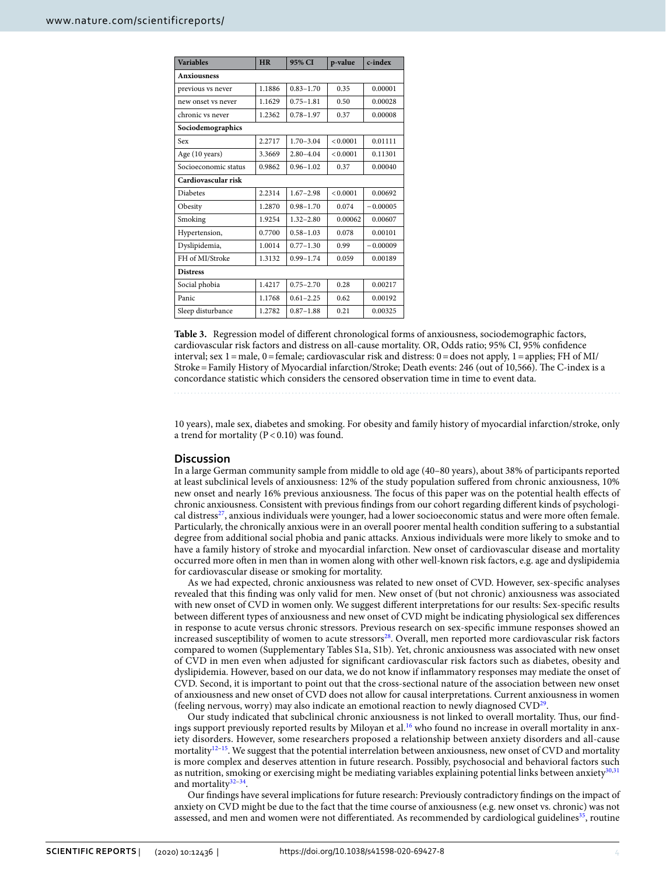| <b>Variables</b>     | <b>HR</b> | 95% CI        | p-value  | c-index    |  |  |  |
|----------------------|-----------|---------------|----------|------------|--|--|--|
| <b>Anxiousness</b>   |           |               |          |            |  |  |  |
| previous vs never    | 1.1886    | $0.83 - 1.70$ | 0.35     | 0.00001    |  |  |  |
| new onset vs never   | 1.1629    | $0.75 - 1.81$ | 0.50     | 0.00028    |  |  |  |
| chronic vs never     | 1.2362    | $0.78 - 1.97$ | 0.37     | 0.00008    |  |  |  |
| Sociodemographics    |           |               |          |            |  |  |  |
| Sex                  | 2.2717    | $1.70 - 3.04$ | < 0.0001 | 0.01111    |  |  |  |
| Age (10 years)       | 3.3669    | $2.80 - 4.04$ | < 0.0001 | 0.11301    |  |  |  |
| Socioeconomic status | 0.9862    | $0.96 - 1.02$ | 0.37     | 0.00040    |  |  |  |
| Cardiovascular risk  |           |               |          |            |  |  |  |
| <b>Diabetes</b>      | 2.2314    | $1.67 - 2.98$ | < 0.0001 | 0.00692    |  |  |  |
| Obesity              | 1.2870    | $0.98 - 1.70$ | 0.074    | $-0.00005$ |  |  |  |
| Smoking              | 1.9254    | $1.32 - 2.80$ | 0.00062  | 0.00607    |  |  |  |
| Hypertension,        | 0.7700    | $0.58 - 1.03$ | 0.078    | 0.00101    |  |  |  |
| Dyslipidemia,        | 1.0014    | $0.77 - 1.30$ | 0.99     | $-0.00009$ |  |  |  |
| FH of MI/Stroke      | 1.3132    | $0.99 - 1.74$ | 0.059    | 0.00189    |  |  |  |
| <b>Distress</b>      |           |               |          |            |  |  |  |
| Social phobia        | 1.4217    | $0.75 - 2.70$ | 0.28     | 0.00217    |  |  |  |
| Panic                | 1.1768    | $0.61 - 2.25$ | 0.62     | 0.00192    |  |  |  |
| Sleep disturbance    | 1.2782    | $0.87 - 1.88$ | 0.21     | 0.00325    |  |  |  |

<span id="page-3-0"></span>**Table 3.** Regression model of diferent chronological forms of anxiousness, sociodemographic factors, cardiovascular risk factors and distress on all-cause mortality. OR, Odds ratio; 95% CI, 95% confdence interval; sex 1=male, 0=female; cardiovascular risk and distress: 0=does not apply, 1=applies; FH of MI/ Stroke=Family History of Myocardial infarction/Stroke; Death events: 246 (out of 10,566). The C-index is a concordance statistic which considers the censored observation time in time to event data.

10 years), male sex, diabetes and smoking. For obesity and family history of myocardial infarction/stroke, only a trend for mortality ( $P < 0.10$ ) was found.

### **Discussion**

In a large German community sample from middle to old age (40–80 years), about 38% of participants reported at least subclinical levels of anxiousness: 12% of the study population sufered from chronic anxiousness, 10% new onset and nearly 16% previous anxiousness. The focus of this paper was on the potential health effects of chronic anxiousness. Consistent with previous fndings from our cohort regarding diferent kinds of psychological distress<sup>27</sup>, anxious individuals were younger, had a lower socioeconomic status and were more often female. Particularly, the chronically anxious were in an overall poorer mental health condition sufering to a substantial degree from additional social phobia and panic attacks. Anxious individuals were more likely to smoke and to have a family history of stroke and myocardial infarction. New onset of cardiovascular disease and mortality occurred more ofen in men than in women along with other well-known risk factors, e.g. age and dyslipidemia for cardiovascular disease or smoking for mortality.

As we had expected, chronic anxiousness was related to new onset of CVD. However, sex-specifc analyses revealed that this fnding was only valid for men. New onset of (but not chronic) anxiousness was associated with new onset of CVD in women only. We suggest diferent interpretations for our results: Sex-specifc results between diferent types of anxiousness and new onset of CVD might be indicating physiological sex diferences in response to acute versus chronic stressors. Previous research on sex-specifc immune responses showed an increased susceptibility of women to acute stressors<sup>[28](#page-6-18)</sup>. Overall, men reported more cardiovascular risk factors compared to women (Supplementary Tables S1a, S1b). Yet, chronic anxiousness was associated with new onset of CVD in men even when adjusted for signifcant cardiovascular risk factors such as diabetes, obesity and dyslipidemia. However, based on our data, we do not know if infammatory responses may mediate the onset of CVD. Second, it is important to point out that the cross-sectional nature of the association between new onset of anxiousness and new onset of CVD does not allow for causal interpretations. Current anxiousness in women (feeling nervous, worry) may also indicate an emotional reaction to newly diagnosed CVD[29.](#page-6-19)

Our study indicated that subclinical chronic anxiousness is not linked to overall mortality. Tus, our fndings support previously reported results by Miloyan et al.[16](#page-6-7) who found no increase in overall mortality in anxiety disorders. However, some researchers proposed a relationship between anxiety disorders and all-cause mortality<sup>12–15</sup>. We suggest that the potential interrelation between anxiousness, new onset of CVD and mortality is more complex and deserves attention in future research. Possibly, psychosocial and behavioral factors such as nutrition, smoking or exercising might be mediating variables explaining potential links between anxiety<sup>[30](#page-6-20),[31](#page-6-21)</sup> and mortality $32-34$ .

Our fndings have several implications for future research: Previously contradictory fndings on the impact of anxiety on CVD might be due to the fact that the time course of anxiousness (e.g. new onset vs. chronic) was not assessed, and men and women were not differentiated. As recommended by cardiological guidelines<sup>[35](#page-6-24)</sup>, routine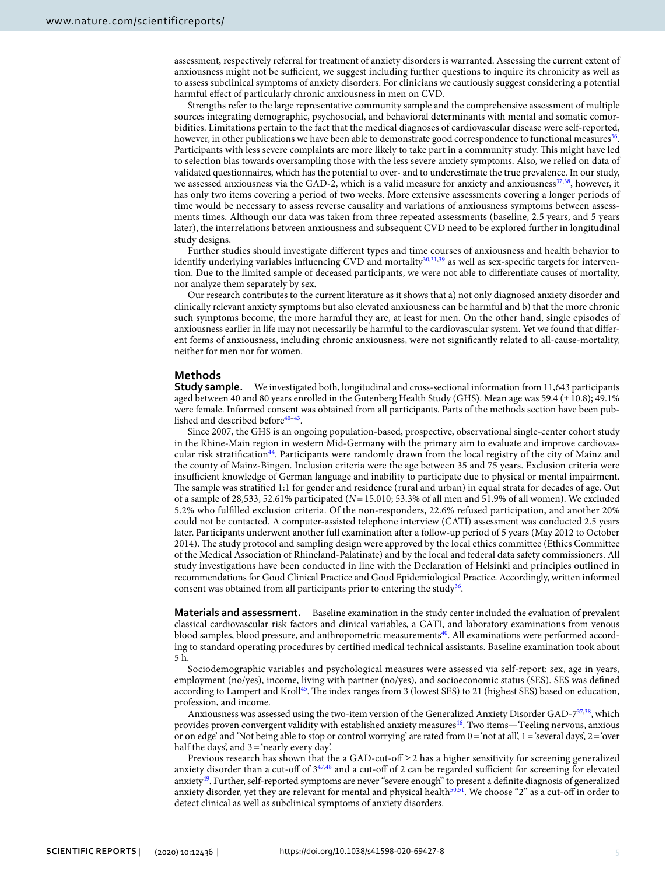assessment, respectively referral for treatment of anxiety disorders is warranted. Assessing the current extent of anxiousness might not be sufficient, we suggest including further questions to inquire its chronicity as well as to assess subclinical symptoms of anxiety disorders. For clinicians we cautiously suggest considering a potential harmful efect of particularly chronic anxiousness in men on CVD.

Strengths refer to the large representative community sample and the comprehensive assessment of multiple sources integrating demographic, psychosocial, and behavioral determinants with mental and somatic comorbidities. Limitations pertain to the fact that the medical diagnoses of cardiovascular disease were self-reported, however, in other publications we have been able to demonstrate good correspondence to functional measures<sup>[36](#page-6-25)</sup>. Participants with less severe complaints are more likely to take part in a community study. This might have led to selection bias towards oversampling those with the less severe anxiety symptoms. Also, we relied on data of validated questionnaires, which has the potential to over- and to underestimate the true prevalence. In our study, we assessed anxiousness via the GAD-2, which is a valid measure for anxiety and anxiousness $37,38$  $37,38$ , however, it has only two items covering a period of two weeks. More extensive assessments covering a longer periods of time would be necessary to assess reverse causality and variations of anxiousness symptoms between assessments times. Although our data was taken from three repeated assessments (baseline, 2.5 years, and 5 years later), the interrelations between anxiousness and subsequent CVD need to be explored further in longitudinal study designs.

Further studies should investigate diferent types and time courses of anxiousness and health behavior to identify underlying variables influencing CVD and mortality<sup>30[,31](#page-6-21)[,39](#page-6-28)</sup> as well as sex-specific targets for intervention. Due to the limited sample of deceased participants, we were not able to diferentiate causes of mortality, nor analyze them separately by sex.

Our research contributes to the current literature as it shows that a) not only diagnosed anxiety disorder and clinically relevant anxiety symptoms but also elevated anxiousness can be harmful and b) that the more chronic such symptoms become, the more harmful they are, at least for men. On the other hand, single episodes of anxiousness earlier in life may not necessarily be harmful to the cardiovascular system. Yet we found that diferent forms of anxiousness, including chronic anxiousness, were not signifcantly related to all-cause-mortality, neither for men nor for women.

#### <span id="page-4-0"></span>**Methods**

**Study sample.** We investigated both, longitudinal and cross-sectional information from 11,643 participants aged between 40 and 80 years enrolled in the Gutenberg Health Study (GHS). Mean age was 59.4 (±10.8); 49.1% were female. Informed consent was obtained from all participants. Parts of the methods section have been published and described before<sup>40-43</sup>.

Since 2007, the GHS is an ongoing population-based, prospective, observational single-center cohort study in the Rhine-Main region in western Mid-Germany with the primary aim to evaluate and improve cardiovascular risk stratifcation[44.](#page-6-31) Participants were randomly drawn from the local registry of the city of Mainz and the county of Mainz-Bingen. Inclusion criteria were the age between 35 and 75 years. Exclusion criteria were insufficient knowledge of German language and inability to participate due to physical or mental impairment. The sample was stratified 1:1 for gender and residence (rural and urban) in equal strata for decades of age. Out of a sample of 28,533, 52.61% participated (*N*=15.010; 53.3% of all men and 51.9% of all women). We excluded 5.2% who fulflled exclusion criteria. Of the non-responders, 22.6% refused participation, and another 20% could not be contacted. A computer-assisted telephone interview (CATI) assessment was conducted 2.5 years later. Participants underwent another full examination afer a follow-up period of 5 years (May 2012 to October 2014). The study protocol and sampling design were approved by the local ethics committee (Ethics Committee of the Medical Association of Rhineland-Palatinate) and by the local and federal data safety commissioners. All study investigations have been conducted in line with the Declaration of Helsinki and principles outlined in recommendations for Good Clinical Practice and Good Epidemiological Practice. Accordingly, written informed consent was obtained from all participants prior to entering the study<sup>[36](#page-6-25)</sup>.

**Materials and assessment.** Baseline examination in the study center included the evaluation of prevalent classical cardiovascular risk factors and clinical variables, a CATI, and laboratory examinations from venous blood samples, blood pressure, and anthropometric measurements<sup>[40](#page-6-29)</sup>. All examinations were performed according to standard operating procedures by certifed medical technical assistants. Baseline examination took about 5 h.

Sociodemographic variables and psychological measures were assessed via self-report: sex, age in years, employment (no/yes), income, living with partner (no/yes), and socioeconomic status (SES). SES was defned according to Lampert and Kroll<sup>45</sup>. The index ranges from 3 (lowest SES) to 21 (highest SES) based on education, profession, and income.

Anxiousness was assessed using the two-item version of the Generalized Anxiety Disorder GAD-7[37,](#page-6-26)[38](#page-6-27), which provides proven convergent validity with established anxiety measures<sup>46</sup>. Two items—'Feeling nervous, anxious or on edge' and 'Not being able to stop or control worrying' are rated from  $0=$  'not at all',  $1=$  'several days',  $2=$  'over half the days', and  $3 = 'nearly$  every day'.

Previous research has shown that the a GAD-cut-off  $\geq 2$  has a higher sensitivity for screening generalized anxiety disorder than a cut-off of  $3^{47,48}$  and a cut-off of 2 can be regarded sufficient for screening for elevated anxiety[49](#page-7-2). Further, self-reported symptoms are never "severe enough" to present a defnite diagnosis of generalized anxiety disorder, yet they are relevant for mental and physical health $50,51$  $50,51$  $50,51$ . We choose "2" as a cut-off in order to detect clinical as well as subclinical symptoms of anxiety disorders.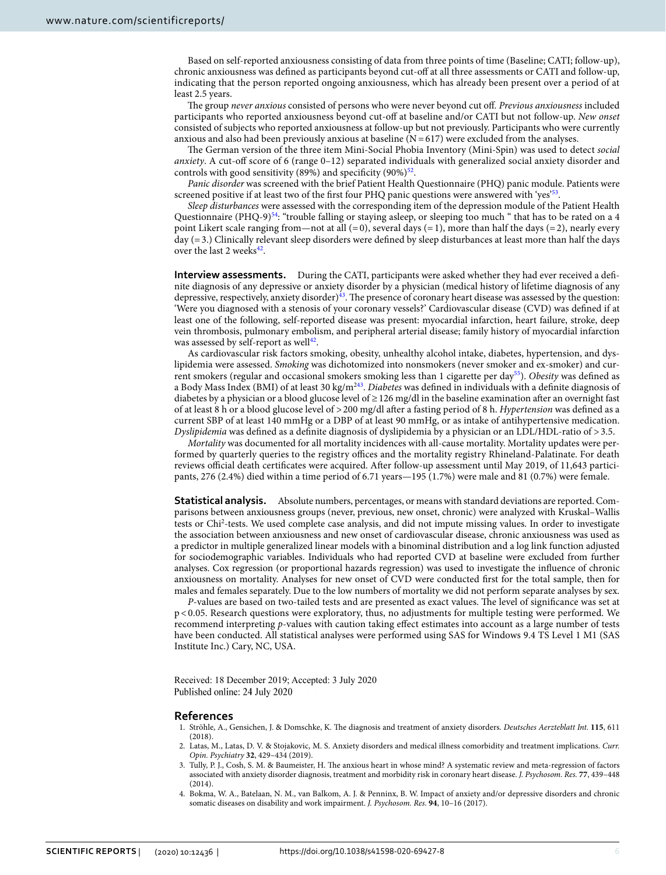Based on self-reported anxiousness consisting of data from three points of time (Baseline; CATI; follow-up), chronic anxiousness was defned as participants beyond cut-of at all three assessments or CATI and follow-up, indicating that the person reported ongoing anxiousness, which has already been present over a period of at least 2.5 years.

The group *never anxious* consisted of persons who were never beyond cut off. Previous anxiousness included participants who reported anxiousness beyond cut-of at baseline and/or CATI but not follow-up. *New onset* consisted of subjects who reported anxiousness at follow-up but not previously. Participants who were currently anxious and also had been previously anxious at baseline  $(N=617)$  were excluded from the analyses.

The German version of the three item Mini-Social Phobia Inventory (Mini-Spin) was used to detect *social anxiety*. A cut-of score of 6 (range 0–12) separated individuals with generalized social anxiety disorder and controls with good sensitivity (89%) and specificity (90%) $52$ .

*Panic disorder* was screened with the brief Patient Health Questionnaire (PHQ) panic module. Patients were screened positive if at least two of the first four PHQ panic questions were answered with 'yes'<sup>[53](#page-7-6)</sup>

*Sleep disturbances* were assessed with the corresponding item of the depression module of the Patient Health Questionnaire (PHQ-9)<sup>[54](#page-7-7)</sup>: "trouble falling or staying asleep, or sleeping too much " that has to be rated on a 4 point Likert scale ranging from—not at all  $(=0)$ , several days  $(=1)$ , more than half the days  $(=2)$ , nearly every day (=3.) Clinically relevant sleep disorders were defned by sleep disturbances at least more than half the days over the last 2 weeks $42$ .

**Interview assessments.** During the CATI, participants were asked whether they had ever received a defnite diagnosis of any depressive or anxiety disorder by a physician (medical history of lifetime diagnosis of any depressive, respectively, anxiety disorder)<sup>43</sup>. The presence of coronary heart disease was assessed by the question: 'Were you diagnosed with a stenosis of your coronary vessels?' Cardiovascular disease (CVD) was defned if at least one of the following, self-reported disease was present: myocardial infarction, heart failure, stroke, deep vein thrombosis, pulmonary embolism, and peripheral arterial disease; family history of myocardial infarction was assessed by self-report as well<sup>42</sup>.

As cardiovascular risk factors smoking, obesity, unhealthy alcohol intake, diabetes, hypertension, and dyslipidemia were assessed. *Smoking* was dichotomized into nonsmokers (never smoker and ex-smoker) and current smokers (regular and occasional smokers smoking less than 1 cigarette per day[55](#page-7-8)). *Obesity* was defned as a Body Mass Index (BMI) of at least 30 kg/m[243.](#page-6-30) *Diabetes* was defned in individuals with a defnite diagnosis of diabetes by a physician or a blood glucose level of ≥126 mg/dl in the baseline examination afer an overnight fast of at least 8 h or a blood glucose level of >200 mg/dl afer a fasting period of 8 h. *Hypertension* was defned as a current SBP of at least 140 mmHg or a DBP of at least 90 mmHg, or as intake of antihypertensive medication. *Dyslipidemia* was defned as a defnite diagnosis of dyslipidemia by a physician or an LDL/HDL-ratio of >3.5.

*Mortality* was documented for all mortality incidences with all-cause mortality. Mortality updates were performed by quarterly queries to the registry offices and the mortality registry Rhineland-Palatinate. For death reviews official death certificates were acquired. After follow-up assessment until May 2019, of 11,643 participants, 276 (2.4%) died within a time period of 6.71 years—195 (1.7%) were male and 81 (0.7%) were female.

**Statistical analysis.** Absolute numbers, percentages, or means with standard deviations are reported. Comparisons between anxiousness groups (never, previous, new onset, chronic) were analyzed with Kruskal–Wallis tests or Chi<sup>2</sup>-tests. We used complete case analysis, and did not impute missing values. In order to investigate the association between anxiousness and new onset of cardiovascular disease, chronic anxiousness was used as a predictor in multiple generalized linear models with a binominal distribution and a log link function adjusted for sociodemographic variables. Individuals who had reported CVD at baseline were excluded from further analyses. Cox regression (or proportional hazards regression) was used to investigate the infuence of chronic anxiousness on mortality. Analyses for new onset of CVD were conducted frst for the total sample, then for males and females separately. Due to the low numbers of mortality we did not perform separate analyses by sex.

*P*-values are based on two-tailed tests and are presented as exact values. The level of significance was set at p < 0.05. Research questions were exploratory, thus, no adjustments for multiple testing were performed. We recommend interpreting *p*-values with caution taking efect estimates into account as a large number of tests have been conducted. All statistical analyses were performed using SAS for Windows 9.4 TS Level 1 M1 (SAS Institute Inc.) Cary, NC, USA.

Received: 18 December 2019; Accepted: 3 July 2020 Published online: 24 July 2020

#### **References**

- <span id="page-5-0"></span>1. Ströhle, A., Gensichen, J. & Domschke, K. Te diagnosis and treatment of anxiety disorders. *Deutsches Aerzteblatt Int.* **115**, 611 (2018).
- <span id="page-5-1"></span>2. Latas, M., Latas, D. V. & Stojakovic, M. S. Anxiety disorders and medical illness comorbidity and treatment implications. *Curr. Opin. Psychiatry* **32**, 429–434 (2019).
- <span id="page-5-2"></span>3. Tully, P. J., Cosh, S. M. & Baumeister, H. Te anxious heart in whose mind? A systematic review and meta-regression of factors associated with anxiety disorder diagnosis, treatment and morbidity risk in coronary heart disease. *J. Psychosom. Res.* **77**, 439–448 (2014).
- <span id="page-5-3"></span>4. Bokma, W. A., Batelaan, N. M., van Balkom, A. J. & Penninx, B. W. Impact of anxiety and/or depressive disorders and chronic somatic diseases on disability and work impairment. *J. Psychosom. Res.* **94**, 10–16 (2017).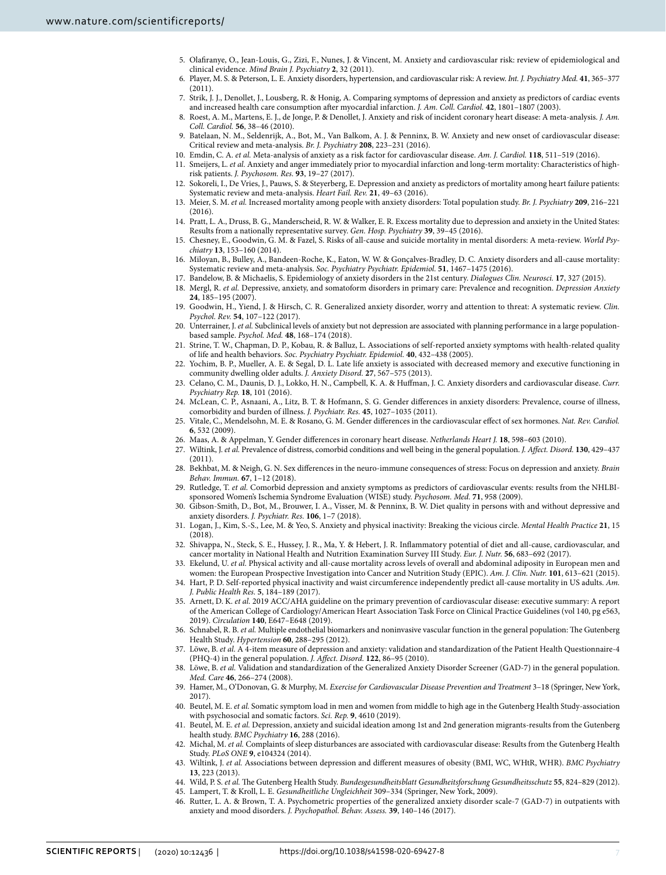- 5. Olafranye, O., Jean-Louis, G., Zizi, F., Nunes, J. & Vincent, M. Anxiety and cardiovascular risk: review of epidemiological and clinical evidence. *Mind Brain J. Psychiatry* **2**, 32 (2011).
- <span id="page-6-0"></span>6. Player, M. S. & Peterson, L. E. Anxiety disorders, hypertension, and cardiovascular risk: A review. *Int. J. Psychiatry Med.* **41**, 365–377 (2011).
- <span id="page-6-1"></span>7. Strik, J. J., Denollet, J., Lousberg, R. & Honig, A. Comparing symptoms of depression and anxiety as predictors of cardiac events and increased health care consumption afer myocardial infarction. *J. Am. Coll. Cardiol.* **42**, 1801–1807 (2003).
- <span id="page-6-3"></span>8. Roest, A. M., Martens, E. J., de Jonge, P. & Denollet, J. Anxiety and risk of incident coronary heart disease: A meta-analysis. *J. Am. Coll. Cardiol.* **56**, 38–46 (2010).
- 9. Batelaan, N. M., Seldenrijk, A., Bot, M., Van Balkom, A. J. & Penninx, B. W. Anxiety and new onset of cardiovascular disease: Critical review and meta-analysis. *Br. J. Psychiatry* **208**, 223–231 (2016).
- <span id="page-6-2"></span>10. Emdin, C. A. *et al.* Meta-analysis of anxiety as a risk factor for cardiovascular disease. *Am. J. Cardiol.* **118**, 511–519 (2016).
- <span id="page-6-4"></span>11. Smeijers, L. *et al.* Anxiety and anger immediately prior to myocardial infarction and long-term mortality: Characteristics of highrisk patients. *J. Psychosom. Res.* **93**, 19–27 (2017).
- <span id="page-6-5"></span>12. Sokoreli, I., De Vries, J., Pauws, S. & Steyerberg, E. Depression and anxiety as predictors of mortality among heart failure patients: Systematic review and meta-analysis. *Heart Fail. Rev.* **21**, 49–63 (2016).
- 13. Meier, S. M. *et al.* Increased mortality among people with anxiety disorders: Total population study. *Br. J. Psychiatry* **209**, 216–221 (2016).
- 14. Pratt, L. A., Druss, B. G., Manderscheid, R. W. & Walker, E. R. Excess mortality due to depression and anxiety in the United States: Results from a nationally representative survey. *Gen. Hosp. Psychiatry* **39**, 39–45 (2016).
- <span id="page-6-6"></span>15. Chesney, E., Goodwin, G. M. & Fazel, S. Risks of all-cause and suicide mortality in mental disorders: A meta-review. *World Psychiatry* **13**, 153–160 (2014).
- <span id="page-6-7"></span>16. Miloyan, B., Bulley, A., Bandeen-Roche, K., Eaton, W. W. & Gonçalves-Bradley, D. C. Anxiety disorders and all-cause mortality: Systematic review and meta-analysis. *Soc. Psychiatry Psychiatr. Epidemiol.* **51**, 1467–1475 (2016).
- <span id="page-6-8"></span>17. Bandelow, B. & Michaelis, S. Epidemiology of anxiety disorders in the 21st century. *Dialogues Clin. Neurosci.* **17**, 327 (2015).
- <span id="page-6-9"></span>18. Mergl, R. *et al.* Depressive, anxiety, and somatoform disorders in primary care: Prevalence and recognition. *Depression Anxiety* **24**, 185–195 (2007).
- <span id="page-6-10"></span>19. Goodwin, H., Yiend, J. & Hirsch, C. R. Generalized anxiety disorder, worry and attention to threat: A systematic review. *Clin. Psychol. Rev.* **54**, 107–122 (2017).
- <span id="page-6-11"></span>20. Unterrainer, J. *et al.* Subclinical levels of anxiety but not depression are associated with planning performance in a large populationbased sample. *Psychol. Med.* **48**, 168–174 (2018).
- 21. Strine, T. W., Chapman, D. P., Kobau, R. & Balluz, L. Associations of self-reported anxiety symptoms with health-related quality of life and health behaviors. *Soc. Psychiatry Psychiatr. Epidemiol.* **40**, 432–438 (2005).
- <span id="page-6-12"></span>22. Yochim, B. P., Mueller, A. E. & Segal, D. L. Late life anxiety is associated with decreased memory and executive functioning in community dwelling older adults. *J. Anxiety Disord.* **27**, 567–575 (2013).
- <span id="page-6-13"></span>23. Celano, C. M., Daunis, D. J., Lokko, H. N., Campbell, K. A. & Hufman, J. C. Anxiety disorders and cardiovascular disease. *Curr. Psychiatry Rep.* **18**, 101 (2016).
- <span id="page-6-14"></span>24. McLean, C. P., Asnaani, A., Litz, B. T. & Hofmann, S. G. Gender diferences in anxiety disorders: Prevalence, course of illness, comorbidity and burden of illness. *J. Psychiatr. Res.* **45**, 1027–1035 (2011).
- <span id="page-6-15"></span>25. Vitale, C., Mendelsohn, M. E. & Rosano, G. M. Gender diferences in the cardiovascular efect of sex hormones. *Nat. Rev. Cardiol.* **6**, 532 (2009).
- <span id="page-6-16"></span>26. Maas, A. & Appelman, Y. Gender diferences in coronary heart disease. *Netherlands Heart J.* **18**, 598–603 (2010).
- <span id="page-6-17"></span>27. Wiltink, J. *et al.* Prevalence of distress, comorbid conditions and well being in the general population. *J. Afect. Disord.* **130**, 429–437 (2011).
- <span id="page-6-18"></span>28. Bekhbat, M. & Neigh, G. N. Sex diferences in the neuro-immune consequences of stress: Focus on depression and anxiety. *Brain Behav. Immun.* **67**, 1–12 (2018).
- <span id="page-6-19"></span>29. Rutledge, T. *et al.* Comorbid depression and anxiety symptoms as predictors of cardiovascular events: results from the NHLBIsponsored Women's Ischemia Syndrome Evaluation (WISE) study. *Psychosom. Med.* **71**, 958 (2009).
- <span id="page-6-20"></span>30. Gibson-Smith, D., Bot, M., Brouwer, I. A., Visser, M. & Penninx, B. W. Diet quality in persons with and without depressive and anxiety disorders. *J. Psychiatr. Res.* **106**, 1–7 (2018).
- <span id="page-6-21"></span>31. Logan, J., Kim, S.-S., Lee, M. & Yeo, S. Anxiety and physical inactivity: Breaking the vicious circle. *Mental Health Practice* **21**, 15 (2018).
- <span id="page-6-22"></span>32. Shivappa, N., Steck, S. E., Hussey, J. R., Ma, Y. & Hebert, J. R. Infammatory potential of diet and all-cause, cardiovascular, and cancer mortality in National Health and Nutrition Examination Survey III Study. *Eur. J. Nutr.* **56**, 683–692 (2017).
- 33. Ekelund, U. *et al.* Physical activity and all-cause mortality across levels of overall and abdominal adiposity in European men and women: the European Prospective Investigation into Cancer and Nutrition Study (EPIC). *Am. J. Clin. Nutr.* **101**, 613–621 (2015).
- <span id="page-6-23"></span>34. Hart, P. D. Self-reported physical inactivity and waist circumference independently predict all-cause mortality in US adults. *Am. J. Public Health Res.* **5**, 184–189 (2017).
- <span id="page-6-24"></span>35. Arnett, D. K. *et al.* 2019 ACC/AHA guideline on the primary prevention of cardiovascular disease: executive summary: A report of the American College of Cardiology/American Heart Association Task Force on Clinical Practice Guidelines (vol 140, pg e563, 2019). *Circulation* **140**, E647–E648 (2019).
- <span id="page-6-25"></span>36. Schnabel, R. B. *et al. Multiple endothelial biomarkers and noninvasive vascular function in the general population: The Gutenberg* Health Study. *Hypertension* **60**, 288–295 (2012).
- <span id="page-6-26"></span>37. Löwe, B. *et al.* A 4-item measure of depression and anxiety: validation and standardization of the Patient Health Questionnaire-4 (PHQ-4) in the general population. *J. Afect. Disord.* **122**, 86–95 (2010).
- <span id="page-6-27"></span>38. Löwe, B. *et al.* Validation and standardization of the Generalized Anxiety Disorder Screener (GAD-7) in the general population. *Med. Care* **46**, 266–274 (2008).
- <span id="page-6-28"></span>39. Hamer, M., O'Donovan, G. & Murphy, M. *Exercise for Cardiovascular Disease Prevention and Treatment* 3–18 (Springer, New York, 2017).
- <span id="page-6-29"></span>40. Beutel, M. E. *et al.* Somatic symptom load in men and women from middle to high age in the Gutenberg Health Study-association with psychosocial and somatic factors. *Sci. Rep.* **9**, 4610 (2019).
- 41. Beutel, M. E. *et al.* Depression, anxiety and suicidal ideation among 1st and 2nd generation migrants-results from the Gutenberg health study. *BMC Psychiatry* **16**, 288 (2016).
- <span id="page-6-34"></span>42. Michal, M. *et al.* Complaints of sleep disturbances are associated with cardiovascular disease: Results from the Gutenberg Health Study. *PLoS ONE* **9**, e104324 (2014).
- <span id="page-6-30"></span>43. Wiltink, J. *et al.* Associations between depression and diferent measures of obesity (BMI, WC, WHtR, WHR). *BMC Psychiatry* **13**, 223 (2013).
- <span id="page-6-31"></span>44. Wild, P. S. et al. The Gutenberg Health Study. *Bundesgesundheitsblatt Gesundheitsforschung Gesundheitsschutz* 55, 824–829 (2012).
- <span id="page-6-32"></span>45. Lampert, T. & Kroll, L. E. *Gesundheitliche Ungleichheit* 309–334 (Springer, New York, 2009).
- <span id="page-6-33"></span>46. Rutter, L. A. & Brown, T. A. Psychometric properties of the generalized anxiety disorder scale-7 (GAD-7) in outpatients with anxiety and mood disorders. *J. Psychopathol. Behav. Assess.* **39**, 140–146 (2017).